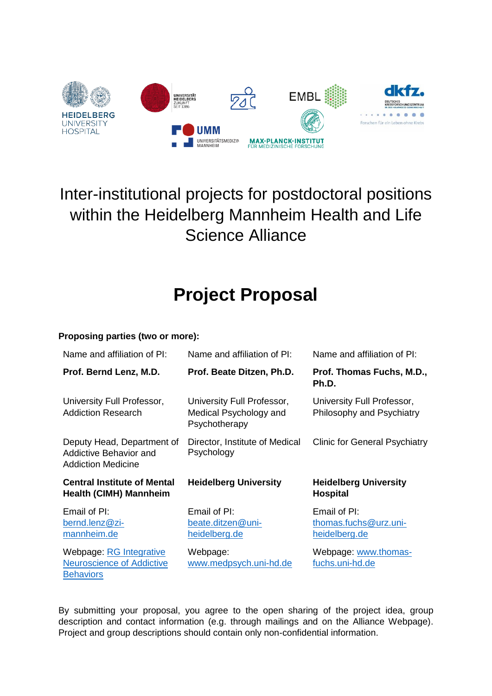

## Inter-institutional projects for postdoctoral positions within the Heidelberg Mannheim Health and Life Science Alliance

# **Project Proposal**

### **Proposing parties (two or more):**

| Name and affiliation of PI:                                                | Name and affiliation of PI:                                           | Name and affiliation of PI:                             |
|----------------------------------------------------------------------------|-----------------------------------------------------------------------|---------------------------------------------------------|
| Prof. Bernd Lenz, M.D.                                                     | Prof. Beate Ditzen, Ph.D.                                             | Prof. Thomas Fuchs, M.D.,<br>Ph.D.                      |
| University Full Professor,<br><b>Addiction Research</b>                    | University Full Professor,<br>Medical Psychology and<br>Psychotherapy | University Full Professor,<br>Philosophy and Psychiatry |
| Deputy Head, Department of<br>Addictive Behavior and<br>Addiction Medicine | Director, Institute of Medical<br>Psychology                          | <b>Clinic for General Psychiatry</b>                    |
| <b>Central Institute of Mental</b><br><b>Health (CIMH) Mannheim</b>        | <b>Heidelberg University</b>                                          | <b>Heidelberg University</b><br><b>Hospital</b>         |
| Email of PI:                                                               |                                                                       |                                                         |
| bernd.lenz@zi-<br>mannheim.de                                              | Email of PI:<br>beate.ditzen@uni-<br>heidelberg.de                    | Email of PI:<br>thomas.fuchs@urz.uni-<br>heidelberg.de  |

By submitting your proposal, you agree to the open sharing of the project idea, group description and contact information (e.g. through mailings and on the Alliance Webpage). Project and group descriptions should contain only non-confidential information.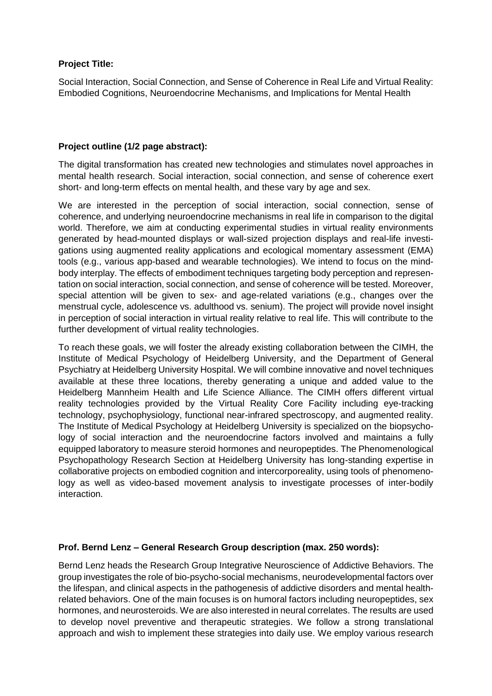#### **Project Title:**

Social Interaction, Social Connection, and Sense of Coherence in Real Life and Virtual Reality: Embodied Cognitions, Neuroendocrine Mechanisms, and Implications for Mental Health

#### **Project outline (1/2 page abstract):**

The digital transformation has created new technologies and stimulates novel approaches in mental health research. Social interaction, social connection, and sense of coherence exert short- and long-term effects on mental health, and these vary by age and sex.

We are interested in the perception of social interaction, social connection, sense of coherence, and underlying neuroendocrine mechanisms in real life in comparison to the digital world. Therefore, we aim at conducting experimental studies in virtual reality environments generated by head-mounted displays or wall-sized projection displays and real-life investigations using augmented reality applications and ecological momentary assessment (EMA) tools (e.g., various app-based and wearable technologies). We intend to focus on the mindbody interplay. The effects of embodiment techniques targeting body perception and representation on social interaction, social connection, and sense of coherence will be tested. Moreover, special attention will be given to sex- and age-related variations (e.g., changes over the menstrual cycle, adolescence vs. adulthood vs. senium). The project will provide novel insight in perception of social interaction in virtual reality relative to real life. This will contribute to the further development of virtual reality technologies.

To reach these goals, we will foster the already existing collaboration between the CIMH, the Institute of Medical Psychology of Heidelberg University, and the Department of General Psychiatry at Heidelberg University Hospital. We will combine innovative and novel techniques available at these three locations, thereby generating a unique and added value to the Heidelberg Mannheim Health and Life Science Alliance. The CIMH offers different virtual reality technologies provided by the Virtual Reality Core Facility including eye-tracking technology, psychophysiology, functional near-infrared spectroscopy, and augmented reality. The Institute of Medical Psychology at Heidelberg University is specialized on the biopsychology of social interaction and the neuroendocrine factors involved and maintains a fully equipped laboratory to measure steroid hormones and neuropeptides. The Phenomenological Psychopathology Research Section at Heidelberg University has long-standing expertise in collaborative projects on embodied cognition and intercorporeality, using tools of phenomenology as well as video-based movement analysis to investigate processes of inter-bodily interaction.

#### **Prof. Bernd Lenz – General Research Group description (max. 250 words):**

Bernd Lenz heads the Research Group Integrative Neuroscience of Addictive Behaviors. The group investigates the role of bio-psycho-social mechanisms, neurodevelopmental factors over the lifespan, and clinical aspects in the pathogenesis of addictive disorders and mental healthrelated behaviors. One of the main focuses is on humoral factors including neuropeptides, sex hormones, and neurosteroids. We are also interested in neural correlates. The results are used to develop novel preventive and therapeutic strategies. We follow a strong translational approach and wish to implement these strategies into daily use. We employ various research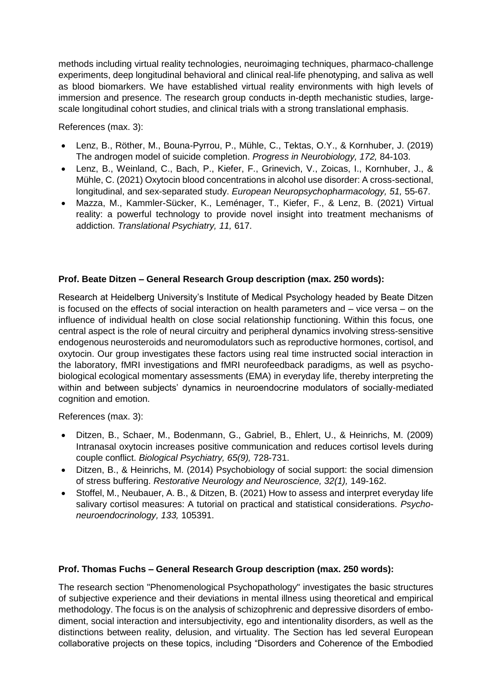methods including virtual reality technologies, neuroimaging techniques, pharmaco-challenge experiments, deep longitudinal behavioral and clinical real-life phenotyping, and saliva as well as blood biomarkers. We have established virtual reality environments with high levels of immersion and presence. The research group conducts in-depth mechanistic studies, largescale longitudinal cohort studies, and clinical trials with a strong translational emphasis.

References (max. 3):

- Lenz, B., Röther, M., Bouna-Pyrrou, P., Mühle, C., Tektas, O.Y., & Kornhuber, J. (2019) The androgen model of suicide completion. *Progress in Neurobiology, 172,* 84-103.
- Lenz, B., Weinland, C., Bach, P., Kiefer, F., Grinevich, V., Zoicas, I., Kornhuber, J., & Mühle, C. (2021) Oxytocin blood concentrations in alcohol use disorder: A cross-sectional, longitudinal, and sex-separated study. *European Neuropsychopharmacology, 51,* 55-67.
- Mazza, M., Kammler-Sücker, K., Leménager, T., Kiefer, F., & Lenz, B. (2021) Virtual reality: a powerful technology to provide novel insight into treatment mechanisms of addiction. *Translational Psychiatry, 11,* 617.

#### **Prof. Beate Ditzen – General Research Group description (max. 250 words):**

Research at Heidelberg University's Institute of Medical Psychology headed by Beate Ditzen is focused on the effects of social interaction on health parameters and – vice versa – on the influence of individual health on close social relationship functioning. Within this focus, one central aspect is the role of neural circuitry and peripheral dynamics involving stress-sensitive endogenous neurosteroids and neuromodulators such as reproductive hormones, cortisol, and oxytocin. Our group investigates these factors using real time instructed social interaction in the laboratory, fMRI investigations and fMRI neurofeedback paradigms, as well as psychobiological ecological momentary assessments (EMA) in everyday life, thereby interpreting the within and between subjects' dynamics in neuroendocrine modulators of socially-mediated cognition and emotion.

References (max. 3):

- Ditzen, B., Schaer, M., Bodenmann, G., Gabriel, B., Ehlert, U., & Heinrichs, M. (2009) Intranasal oxytocin increases positive communication and reduces cortisol levels during couple conflict. *Biological Psychiatry, 65(9),* 728-731.
- Ditzen, B., & Heinrichs, M. (2014) Psychobiology of social support: the social dimension of stress buffering. *Restorative Neurology and Neuroscience, 32(1),* 149-162.
- Stoffel, M., Neubauer, A. B., & Ditzen, B. (2021) How to assess and interpret everyday life salivary cortisol measures: A tutorial on practical and statistical considerations. *Psychoneuroendocrinology, 133,* 105391.

#### **Prof. Thomas Fuchs – General Research Group description (max. 250 words):**

The research section "Phenomenological Psychopathology" investigates the basic structures of subjective experience and their deviations in mental illness using theoretical and empirical methodology. The focus is on the analysis of schizophrenic and depressive disorders of embodiment, social interaction and intersubjectivity, ego and intentionality disorders, as well as the distinctions between reality, delusion, and virtuality. The Section has led several European collaborative projects on these topics, including "Disorders and Coherence of the Embodied